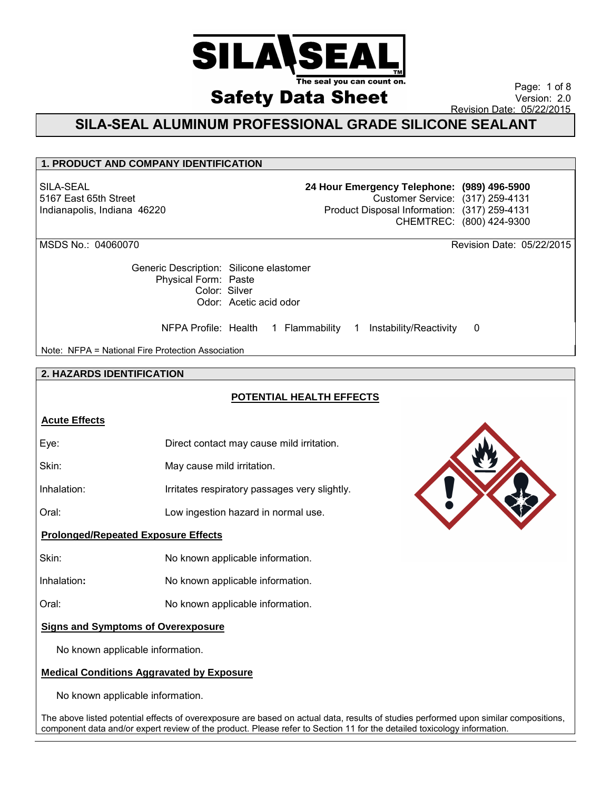

Page: 1 of 8 Version: 2.0 Revision Date: 05/22/2015

## **SILA-SEAL ALUMINUM PROFESSIONAL GRADE SILICONE SEALANT**

## **1. PRODUCT AND COMPANY IDENTIFICATION**

SILA-SEAL 5167 East 65th Street Indianapolis, Indiana 46220 **24 Hour Emergency Telephone: (989) 496-5900** Customer Service: (317) 259-4131 Product Disposal Information: (317) 259-4131 CHEMTREC: (800) 424-9300

Generic Description: Silicone elastomer Physical Form: Paste Color: Silver Odor: Acetic acid odor

NFPA Profile: Health 1 Flammability 1 Instability/Reactivity 0

Note: NFPA = National Fire Protection Association

## **2. HAZARDS IDENTIFICATION**

## **POTENTIAL HEALTH EFFECTS**

## **Acute Effects**

| Eye: | Direct contact may cause mild irritation. |  |
|------|-------------------------------------------|--|
|      |                                           |  |

Skin: May cause mild irritation.

Inhalation: Irritates respiratory passages very slightly.

Oral: Low ingestion hazard in normal use.

## **Prolonged/Repeated Exposure Effects**

Skin: No known applicable information.

Inhalation**:** No known applicable information.

Oral: No known applicable information.

## **Signs and Symptoms of Overexposure**

No known applicable information.

## **Medical Conditions Aggravated by Exposure**

No known applicable information.

The above listed potential effects of overexposure are based on actual data, results of studies performed upon similar compositions, component data and/or expert review of the product. Please refer to Section 11 for the detailed toxicology information.



MSDS No.: 04060070 Revision Date: 05/22/2015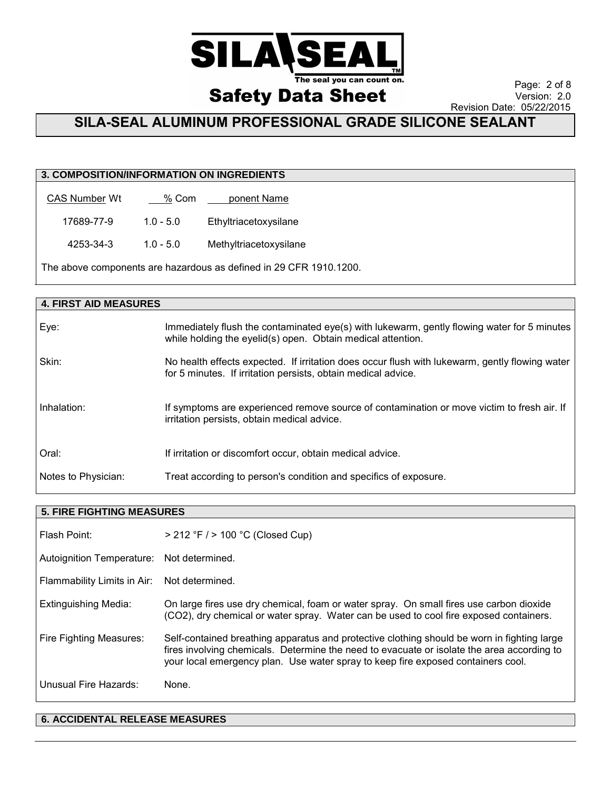

**Safety Data Sheet** Revision Date: 05/22/2015

Page: 2 of 8 Version: 2.0

 **SILA-SEAL ALUMINUM PROFESSIONAL GRADE SILICONE SEALANT**

## **3. COMPOSITION/INFORMATION ON INGREDIENTS**

| <b>CAS Number Wt</b> | % Com | ponent Name |
|----------------------|-------|-------------|
|----------------------|-------|-------------|

17689-77-9 1.0 - 5.0 Ethyltriacetoxysilane

4253-34-3 1.0 - 5.0 Methyltriacetoxysilane

The above components are hazardous as defined in 29 CFR 1910.1200.

| <b>4. FIRST AID MEASURES</b> |                                                                                                                                                                 |  |
|------------------------------|-----------------------------------------------------------------------------------------------------------------------------------------------------------------|--|
| Eye:                         | Immediately flush the contaminated eye(s) with lukewarm, gently flowing water for 5 minutes<br>while holding the eyelid(s) open. Obtain medical attention.      |  |
| Skin:                        | No health effects expected. If irritation does occur flush with lukewarm, gently flowing water<br>for 5 minutes. If irritation persists, obtain medical advice. |  |
| Inhalation:                  | If symptoms are experienced remove source of contamination or move victim to fresh air. If<br>irritation persists, obtain medical advice.                       |  |
| Oral:                        | If irritation or discomfort occur, obtain medical advice.                                                                                                       |  |
| Notes to Physician:          | Treat according to person's condition and specifics of exposure.                                                                                                |  |

| <b>5. FIRE FIGHTING MEASURES</b> |                                                                                                                                                                                                                                                                               |  |
|----------------------------------|-------------------------------------------------------------------------------------------------------------------------------------------------------------------------------------------------------------------------------------------------------------------------------|--|
| Flash Point:                     | > 212 °F / > 100 °C (Closed Cup)                                                                                                                                                                                                                                              |  |
| Autoignition Temperature:        | Not determined.                                                                                                                                                                                                                                                               |  |
| Flammability Limits in Air:      | Not determined.                                                                                                                                                                                                                                                               |  |
| Extinguishing Media:             | On large fires use dry chemical, foam or water spray. On small fires use carbon dioxide<br>(CO2), dry chemical or water spray. Water can be used to cool fire exposed containers.                                                                                             |  |
| <b>Fire Fighting Measures:</b>   | Self-contained breathing apparatus and protective clothing should be worn in fighting large<br>fires involving chemicals. Determine the need to evacuate or isolate the area according to<br>your local emergency plan. Use water spray to keep fire exposed containers cool. |  |
| Unusual Fire Hazards:            | None.                                                                                                                                                                                                                                                                         |  |

## **6. ACCIDENTAL RELEASE MEASURES**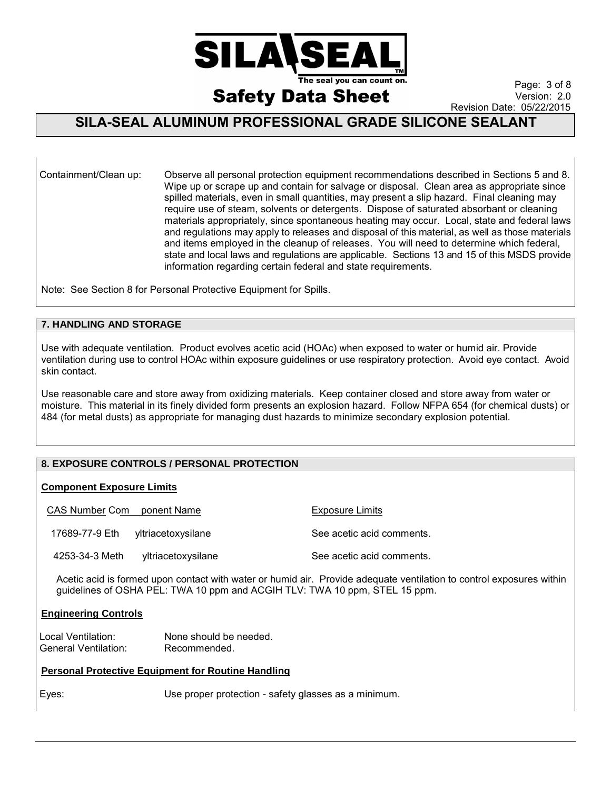

Page: 3 of 8 Version: 2.0 Revision Date: 05/22/2015

## **SILA-SEAL ALUMINUM PROFESSIONAL GRADE SILICONE SEALANT**

Containment/Clean up: Observe all personal protection equipment recommendations described in Sections 5 and 8. Wipe up or scrape up and contain for salvage or disposal. Clean area as appropriate since spilled materials, even in small quantities, may present a slip hazard. Final cleaning may require use of steam, solvents or detergents. Dispose of saturated absorbant or cleaning materials appropriately, since spontaneous heating may occur. Local, state and federal laws and regulations may apply to releases and disposal of this material, as well as those materials and items employed in the cleanup of releases. You will need to determine which federal, state and local laws and regulations are applicable. Sections 13 and 15 of this MSDS provide information regarding certain federal and state requirements.

Note: See Section 8 for Personal Protective Equipment for Spills.

### **7. HANDLING AND STORAGE**

Use with adequate ventilation. Product evolves acetic acid (HOAc) when exposed to water or humid air. Provide ventilation during use to control HOAc within exposure guidelines or use respiratory protection. Avoid eye contact. Avoid skin contact.

Use reasonable care and store away from oxidizing materials. Keep container closed and store away from water or moisture. This material in its finely divided form presents an explosion hazard. Follow NFPA 654 (for chemical dusts) or 484 (for metal dusts) as appropriate for managing dust hazards to minimize secondary explosion potential.

## **8. EXPOSURE CONTROLS / PERSONAL PROTECTION**

#### **Component Exposure Limits**

| CAS Number Com ponent Name |                    | Exposure Limits           |
|----------------------------|--------------------|---------------------------|
| 17689-77-9 Eth             | vitriacetoxysilane | See acetic acid comments. |
| 4253-34-3 Meth             | yltriacetoxysilane | See acetic acid comments. |

Acetic acid is formed upon contact with water or humid air. Provide adequate ventilation to control exposures within guidelines of OSHA PEL: TWA 10 ppm and ACGIH TLV: TWA 10 ppm, STEL 15 ppm.

#### **Engineering Controls**

Local Ventilation: None should be needed. General Ventilation: Recommended.

#### **Personal Protective Equipment for Routine Handling**

Eyes: Use proper protection - safety glasses as a minimum.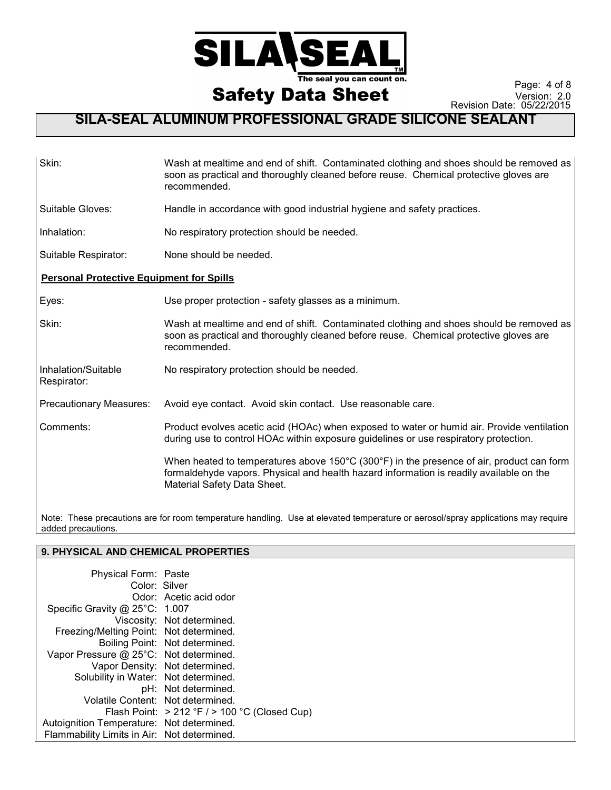

Page: 4 of 8 Version: 2.0 Revision Date: 05/22/2015

## **SILA-SEAL ALUMINUM PROFESSIONAL GRADE SILICONE SEALANT**

| Skin:                                           | Wash at mealtime and end of shift. Contaminated clothing and shoes should be removed as<br>soon as practical and thoroughly cleaned before reuse. Chemical protective gloves are<br>recommended.                                       |
|-------------------------------------------------|----------------------------------------------------------------------------------------------------------------------------------------------------------------------------------------------------------------------------------------|
| Suitable Gloves:                                | Handle in accordance with good industrial hygiene and safety practices.                                                                                                                                                                |
| Inhalation:                                     | No respiratory protection should be needed.                                                                                                                                                                                            |
| Suitable Respirator:                            | None should be needed.                                                                                                                                                                                                                 |
| <b>Personal Protective Equipment for Spills</b> |                                                                                                                                                                                                                                        |
| Eyes:                                           | Use proper protection - safety glasses as a minimum.                                                                                                                                                                                   |
| Skin:                                           | Wash at mealtime and end of shift. Contaminated clothing and shoes should be removed as<br>soon as practical and thoroughly cleaned before reuse. Chemical protective gloves are<br>recommended.                                       |
| Inhalation/Suitable<br>Respirator:              | No respiratory protection should be needed.                                                                                                                                                                                            |
| <b>Precautionary Measures:</b>                  | Avoid eye contact. Avoid skin contact. Use reasonable care.                                                                                                                                                                            |
| Comments:                                       | Product evolves acetic acid (HOAc) when exposed to water or humid air. Provide ventilation<br>during use to control HOAc within exposure guidelines or use respiratory protection.                                                     |
|                                                 | When heated to temperatures above 150 $\degree$ C (300 $\degree$ F) in the presence of air, product can form<br>formaldehyde vapors. Physical and health hazard information is readily available on the<br>Material Safety Data Sheet. |

Note: These precautions are for room temperature handling. Use at elevated temperature or aerosol/spray applications may require added precautions.

## **9. PHYSICAL AND CHEMICAL PROPERTIES**

| Physical Form: Paste                        |                                                 |
|---------------------------------------------|-------------------------------------------------|
| Color: Silver                               |                                                 |
|                                             | Odor: Acetic acid odor                          |
| Specific Gravity @ 25°C: 1.007              |                                                 |
|                                             | Viscosity: Not determined.                      |
| Freezing/Melting Point: Not determined.     |                                                 |
|                                             | Boiling Point: Not determined.                  |
| Vapor Pressure @ 25°C: Not determined.      |                                                 |
|                                             | Vapor Density: Not determined.                  |
| Solubility in Water: Not determined.        |                                                 |
|                                             | pH: Not determined.                             |
| Volatile Content: Not determined.           |                                                 |
|                                             | Flash Point: $>212$ °F / $>100$ °C (Closed Cup) |
| Autoignition Temperature: Not determined.   |                                                 |
| Flammability Limits in Air: Not determined. |                                                 |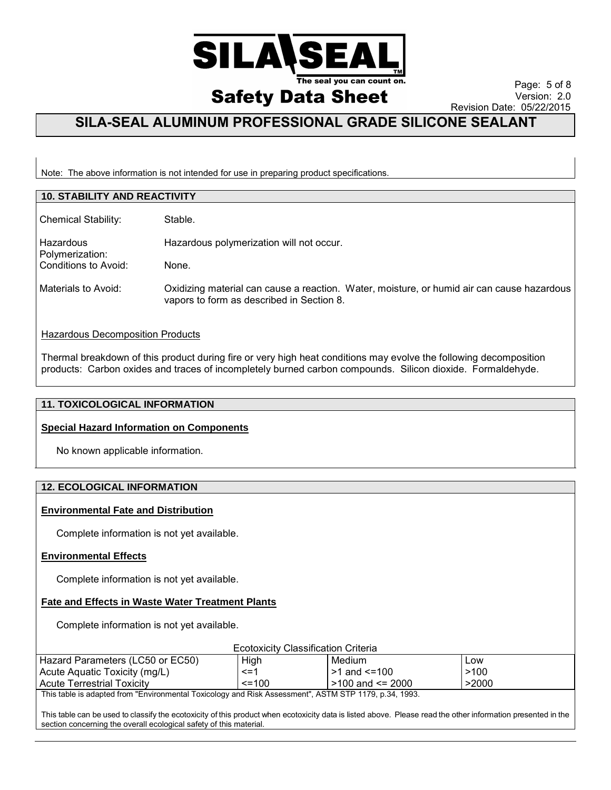

Page: 5 of 8 Version: 2.0 Revision Date: 05/22/2015

## **SILA-SEAL ALUMINUM PROFESSIONAL GRADE SILICONE SEALANT**

Note: The above information is not intended for use in preparing product specifications.

| <b>10. STABILITY AND REACTIVITY</b> |                                                                                                                                         |  |
|-------------------------------------|-----------------------------------------------------------------------------------------------------------------------------------------|--|
| <b>Chemical Stability:</b>          | Stable.                                                                                                                                 |  |
| Hazardous<br>Polymerization:        | Hazardous polymerization will not occur.                                                                                                |  |
| Conditions to Avoid:                | None.                                                                                                                                   |  |
| Materials to Avoid:                 | Oxidizing material can cause a reaction. Water, moisture, or humid air can cause hazardous<br>vapors to form as described in Section 8. |  |
| Llesedeus Dessmassitien Dreducte    |                                                                                                                                         |  |

## **Hazardous Decomposition Products**

Thermal breakdown of this product during fire or very high heat conditions may evolve the following decomposition products: Carbon oxides and traces of incompletely burned carbon compounds. Silicon dioxide. Formaldehyde.

#### **11. TOXICOLOGICAL INFORMATION**

#### **Special Hazard Information on Components**

No known applicable information.

## **12. ECOLOGICAL INFORMATION**

#### **Environmental Fate and Distribution**

Complete information is not yet available.

#### **Environmental Effects**

Complete information is not yet available.

#### **Fate and Effects in Waste Water Treatment Plants**

Complete information is not yet available.

| <b>Ecotoxicity Classification Criteria</b>                                                        |              |                    |       |
|---------------------------------------------------------------------------------------------------|--------------|--------------------|-------|
| Hazard Parameters (LC50 or EC50)                                                                  | High         | Medium             | Low   |
| Acute Aquatic Toxicity (mg/L)                                                                     | $\leq$ =1    | l >1 and <=100     | >100  |
| <b>Acute Terrestrial Toxicity</b>                                                                 | $\leq$ = 100 | l >100 and <= 2000 | >2000 |
| This toble is adopted from "Environmental Texicology and Diak Assessment" ACTM CTD 1170 n 24 1002 |              |                    |       |

This table is adapted from "Environmental Toxicology and Risk Assessment", ASTM STP 1179, p.34, 1993.

This table can be used to classify the ecotoxicity of this product when ecotoxicity data is listed above. Please read the other information presented in the section concerning the overall ecological safety of this material.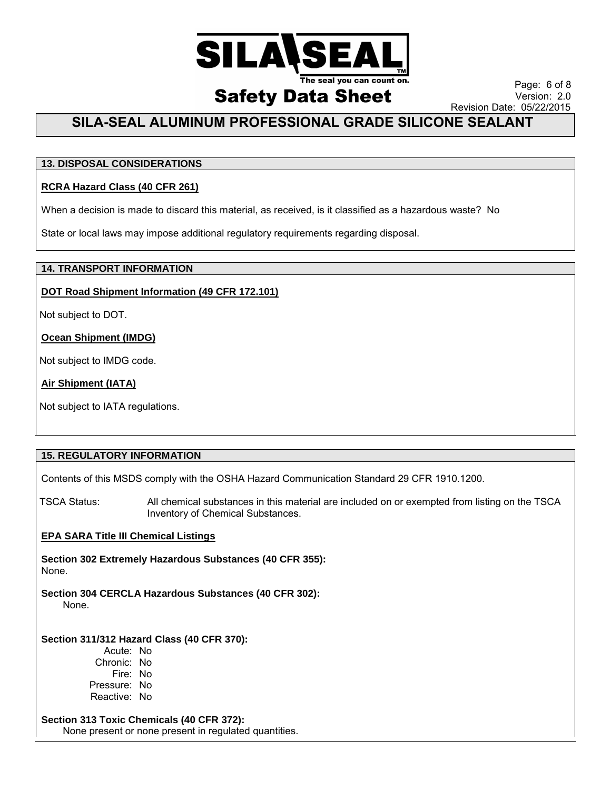

Page: 6 of 8 Version: 2.0 Revision Date: 05/22/2015

## **SILA-SEAL ALUMINUM PROFESSIONAL GRADE SILICONE SEALANT**

## **13. DISPOSAL CONSIDERATIONS**

## **RCRA Hazard Class (40 CFR 261)**

When a decision is made to discard this material, as received, is it classified as a hazardous waste? No

State or local laws may impose additional regulatory requirements regarding disposal.

#### **14. TRANSPORT INFORMATION**

## **DOT Road Shipment Information (49 CFR 172.101)**

Not subject to DOT.

## **Ocean Shipment (IMDG)**

Not subject to IMDG code.

## **Air Shipment (IATA)**

Not subject to IATA regulations.

## **15. REGULATORY INFORMATION**

Contents of this MSDS comply with the OSHA Hazard Communication Standard 29 CFR 1910.1200.

TSCA Status: All chemical substances in this material are included on or exempted from listing on the TSCA Inventory of Chemical Substances.

## **EPA SARA Title III Chemical Listings**

**Section 302 Extremely Hazardous Substances (40 CFR 355):**  None.

**Section 304 CERCLA Hazardous Substances (40 CFR 302):** 

None.

## **Section 311/312 Hazard Class (40 CFR 370):**

Acute: No Chronic: No Fire: No Pressure: No Reactive: No

**Section 313 Toxic Chemicals (40 CFR 372):**  None present or none present in regulated quantities.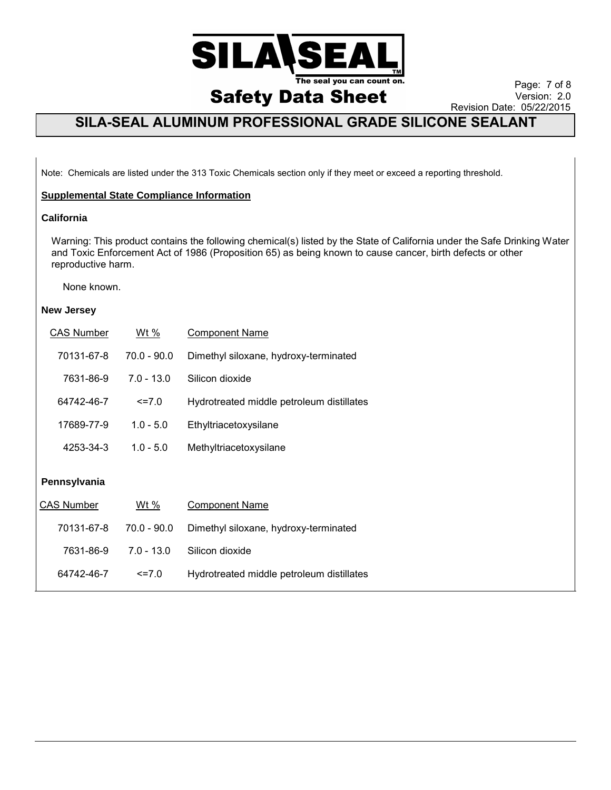

Page: 7 of 8 Version: 2.0 Revision Date: 05/22/2015

## **SILA-SEAL ALUMINUM PROFESSIONAL GRADE SILICONE SEALANT**

Note: Chemicals are listed under the 313 Toxic Chemicals section only if they meet or exceed a reporting threshold.

### **Supplemental State Compliance Information**

#### **California**

Warning: This product contains the following chemical(s) listed by the State of California under the Safe Drinking Water and Toxic Enforcement Act of 1986 (Proposition 65) as being known to cause cancer, birth defects or other reproductive harm.

#### None known.

#### **New Jersey**

| <b>CAS Number</b> | <u>Wt %</u>   | <b>Component Name</b>                     |
|-------------------|---------------|-------------------------------------------|
| 70131-67-8        | $70.0 - 90.0$ | Dimethyl siloxane, hydroxy-terminated     |
| 7631-86-9         | $7.0 - 13.0$  | Silicon dioxide                           |
| 64742-46-7        | $\le$ = 7.0   | Hydrotreated middle petroleum distillates |
| 17689-77-9        | $1.0 - 5.0$   | Ethyltriacetoxysilane                     |
| 4253-34-3         | $1.0 - 5.0$   | Methyltriacetoxysilane                    |
| Pennsylvania      |               |                                           |
| <b>CAS Number</b> | Wt %          | <b>Component Name</b>                     |
| 70131-67-8        | $70.0 - 90.0$ | Dimethyl siloxane, hydroxy-terminated     |
| 7631-86-9         | $7.0 - 13.0$  | Silicon dioxide                           |
| 64742-46-7        |               |                                           |
|                   | $\le$ = 7.0   | Hydrotreated middle petroleum distillates |